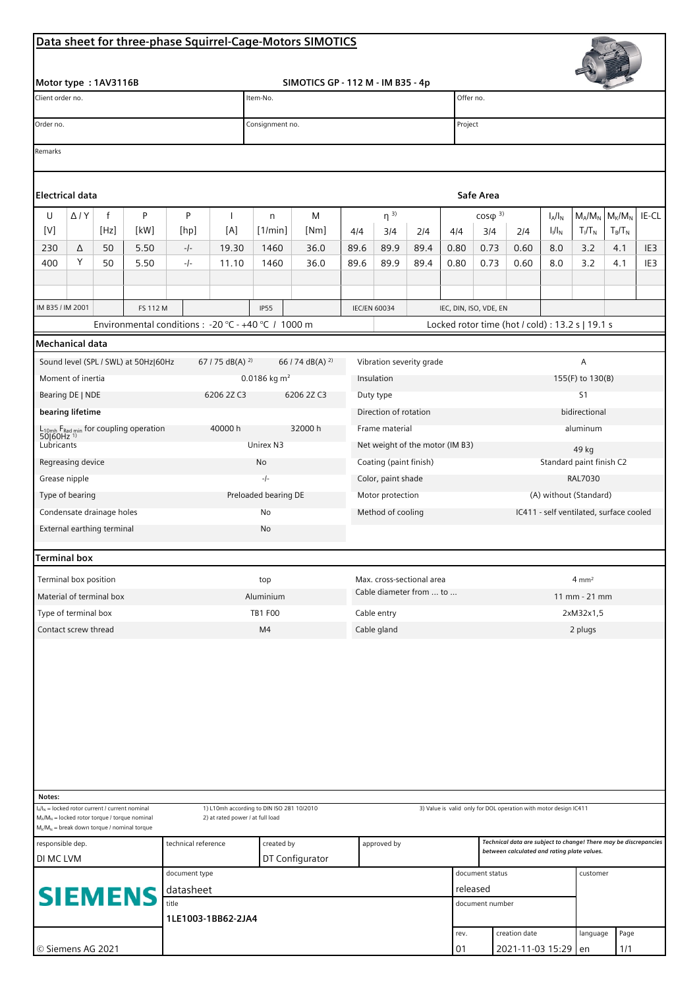## **Data sheet for three-phase Squirrel-Cage-Motors SIMOTICS**

|                                                                                                                                                                                                                                                           |                                          |                                                    |                                                                                                    |      |                                           |                                                  | Data sheet for three-phase Squirrel-Cage-Motors SIMOTICS |                   |                                                  |                        |                 |                                         |                                                                  |           |           |                                     |                 |  |  |
|-----------------------------------------------------------------------------------------------------------------------------------------------------------------------------------------------------------------------------------------------------------|------------------------------------------|----------------------------------------------------|----------------------------------------------------------------------------------------------------|------|-------------------------------------------|--------------------------------------------------|----------------------------------------------------------|-------------------|--------------------------------------------------|------------------------|-----------------|-----------------------------------------|------------------------------------------------------------------|-----------|-----------|-------------------------------------|-----------------|--|--|
|                                                                                                                                                                                                                                                           | Motor type: 1AV3116B                     |                                                    |                                                                                                    |      |                                           |                                                  |                                                          |                   |                                                  |                        |                 |                                         |                                                                  |           |           |                                     |                 |  |  |
| Client order no.                                                                                                                                                                                                                                          |                                          |                                                    |                                                                                                    |      |                                           | SIMOTICS GP - 112 M - IM B35 - 4p<br>Item-No.    |                                                          |                   |                                                  |                        |                 | Offer no.                               |                                                                  |           |           |                                     |                 |  |  |
|                                                                                                                                                                                                                                                           |                                          |                                                    |                                                                                                    |      |                                           |                                                  |                                                          |                   |                                                  |                        |                 |                                         |                                                                  |           |           |                                     |                 |  |  |
| Order no.                                                                                                                                                                                                                                                 |                                          |                                                    |                                                                                                    |      |                                           | Consignment no.                                  |                                                          |                   |                                                  |                        |                 | Project                                 |                                                                  |           |           |                                     |                 |  |  |
| Remarks                                                                                                                                                                                                                                                   |                                          |                                                    |                                                                                                    |      |                                           |                                                  |                                                          |                   |                                                  |                        |                 |                                         |                                                                  |           |           |                                     |                 |  |  |
|                                                                                                                                                                                                                                                           |                                          |                                                    |                                                                                                    |      |                                           |                                                  |                                                          |                   |                                                  |                        |                 |                                         |                                                                  |           |           |                                     |                 |  |  |
| Electrical data                                                                                                                                                                                                                                           |                                          |                                                    |                                                                                                    |      |                                           |                                                  |                                                          |                   |                                                  |                        |                 | Safe Area                               |                                                                  |           |           |                                     |                 |  |  |
| U                                                                                                                                                                                                                                                         | P<br>P<br>$\Delta$ / $Y$<br>$\mathsf{f}$ |                                                    |                                                                                                    |      | I.                                        | M<br>n                                           |                                                          |                   | $\eta^{3}$                                       |                        |                 |                                         | $\cos\varphi^{3}$<br>$I_A/I_N$                                   |           |           | $M_A/M_N$<br>$M_{K}/M_{N}$<br>IE-CL |                 |  |  |
| $[V] \centering% \includegraphics[width=1.0\textwidth]{images/TrDiM1.png} \caption{The 3D (top) and the 4D (bottom) of the 3D (bottom) and the 4D (bottom) of the 3D (bottom) and the 4D (bottom) of the 3D (bottom) of the 3D (bottom).} \label{TrDiM1}$ |                                          | [Hz]                                               | [kW]                                                                                               | [hp] | [A]                                       | [1/min]                                          | [Nm]                                                     | 4/4               | 3/4                                              | 2/4                    | 4/4             | 3/4                                     | 2/4                                                              | $I_1/I_N$ | $T_1/T_N$ | $T_B/T_N$                           |                 |  |  |
| 230                                                                                                                                                                                                                                                       | Δ                                        | 50                                                 | 5.50                                                                                               | -/-  | 19.30                                     | 1460                                             | 36.0                                                     | 89.6              | 89.9                                             | 89.4                   | 0.80            | 0.73                                    | 0.60                                                             | 8.0       | 3.2       | 4.1                                 | IE <sub>3</sub> |  |  |
| 400                                                                                                                                                                                                                                                       | Υ                                        | 50                                                 | 5.50                                                                                               | -/-  | 11.10                                     | 1460                                             | 36.0                                                     | 89.6              | 89.9                                             | 89.4                   | 0.80            | 0.73                                    | 0.60                                                             | 8.0       | 3.2       | 4.1                                 | IE3             |  |  |
|                                                                                                                                                                                                                                                           |                                          |                                                    |                                                                                                    |      |                                           |                                                  |                                                          |                   |                                                  |                        |                 |                                         |                                                                  |           |           |                                     |                 |  |  |
| IM B35 / IM 2001<br>FS 112 M                                                                                                                                                                                                                              |                                          |                                                    |                                                                                                    |      |                                           | <b>IP55</b><br><b>IEC/EN 60034</b>               |                                                          |                   |                                                  | IEC, DIN, ISO, VDE, EN |                 |                                         |                                                                  |           |           |                                     |                 |  |  |
| Environmental conditions : - 20 °C - +40 °C / 1000 m                                                                                                                                                                                                      |                                          |                                                    |                                                                                                    |      |                                           |                                                  |                                                          |                   | Locked rotor time (hot / cold) : 13.2 s   19.1 s |                        |                 |                                         |                                                                  |           |           |                                     |                 |  |  |
| Mechanical data                                                                                                                                                                                                                                           |                                          |                                                    |                                                                                                    |      |                                           |                                                  |                                                          |                   |                                                  |                        |                 |                                         |                                                                  |           |           |                                     |                 |  |  |
|                                                                                                                                                                                                                                                           |                                          |                                                    | Sound level (SPL / SWL) at 50Hz 60Hz                                                               |      | 67 / 75 dB(A) $^{2}$                      | 66 / 74 dB(A) $^{2}$<br>Vibration severity grade |                                                          |                   |                                                  |                        | Α               |                                         |                                                                  |           |           |                                     |                 |  |  |
| Moment of inertia                                                                                                                                                                                                                                         |                                          |                                                    |                                                                                                    |      |                                           | 0.0186 kg $m^2$                                  |                                                          |                   | Insulation                                       |                        |                 |                                         | 155(F) to 130(B)                                                 |           |           |                                     |                 |  |  |
| Bearing DE   NDE<br>6206 2Z C3                                                                                                                                                                                                                            |                                          |                                                    |                                                                                                    |      |                                           |                                                  | 6206 2Z C3                                               |                   | Duty type                                        |                        |                 |                                         | S <sub>1</sub>                                                   |           |           |                                     |                 |  |  |
| bearing lifetime                                                                                                                                                                                                                                          |                                          |                                                    |                                                                                                    |      |                                           |                                                  |                                                          |                   | Direction of rotation                            |                        |                 |                                         | bidirectional                                                    |           |           |                                     |                 |  |  |
| 40000 h<br>L <sub>10mh</sub> F <sub>Rad min</sub> for coupling operation<br>50 60Hz <sup>1)</sup>                                                                                                                                                         |                                          |                                                    |                                                                                                    |      |                                           |                                                  | 32000 h                                                  |                   | Frame material                                   |                        |                 |                                         | aluminum                                                         |           |           |                                     |                 |  |  |
| Lubricants                                                                                                                                                                                                                                                |                                          |                                                    |                                                                                                    |      |                                           | Unirex N3                                        |                                                          |                   | Net weight of the motor (IM B3)                  |                        |                 |                                         | 49 kg                                                            |           |           |                                     |                 |  |  |
| Regreasing device                                                                                                                                                                                                                                         |                                          |                                                    |                                                                                                    |      |                                           | No<br>$-/-$                                      |                                                          |                   | Coating (paint finish)<br>Color, paint shade     |                        |                 |                                         | Standard paint finish C2<br><b>RAL7030</b>                       |           |           |                                     |                 |  |  |
| Grease nipple<br>Type of bearing                                                                                                                                                                                                                          |                                          |                                                    |                                                                                                    |      |                                           | Preloaded bearing DE                             |                                                          |                   | Motor protection                                 |                        |                 |                                         | (A) without (Standard)                                           |           |           |                                     |                 |  |  |
| Condensate drainage holes                                                                                                                                                                                                                                 |                                          |                                                    |                                                                                                    |      |                                           | No                                               |                                                          | Method of cooling |                                                  |                        |                 | IC411 - self ventilated, surface cooled |                                                                  |           |           |                                     |                 |  |  |
| External earthing terminal                                                                                                                                                                                                                                |                                          |                                                    |                                                                                                    |      |                                           | No                                               |                                                          |                   |                                                  |                        |                 |                                         |                                                                  |           |           |                                     |                 |  |  |
| Terminal box                                                                                                                                                                                                                                              |                                          |                                                    |                                                                                                    |      |                                           |                                                  |                                                          |                   |                                                  |                        |                 |                                         |                                                                  |           |           |                                     |                 |  |  |
| Terminal box position                                                                                                                                                                                                                                     |                                          |                                                    |                                                                                                    |      |                                           | top                                              |                                                          |                   | Max. cross-sectional area                        |                        |                 |                                         | $4 \, \text{mm}^2$                                               |           |           |                                     |                 |  |  |
| Material of terminal box                                                                                                                                                                                                                                  |                                          |                                                    |                                                                                                    |      |                                           | Aluminium                                        |                                                          |                   | Cable diameter from  to                          |                        |                 |                                         | 11 mm - 21 mm                                                    |           |           |                                     |                 |  |  |
| Type of terminal box                                                                                                                                                                                                                                      |                                          |                                                    |                                                                                                    |      |                                           | <b>TB1 F00</b>                                   |                                                          |                   | Cable entry                                      |                        |                 |                                         | 2xM32x1,5                                                        |           |           |                                     |                 |  |  |
| Contact screw thread                                                                                                                                                                                                                                      |                                          |                                                    |                                                                                                    |      |                                           | M4                                               |                                                          |                   | Cable gland                                      |                        |                 |                                         | 2 plugs                                                          |           |           |                                     |                 |  |  |
|                                                                                                                                                                                                                                                           |                                          |                                                    |                                                                                                    |      |                                           |                                                  |                                                          |                   |                                                  |                        |                 |                                         |                                                                  |           |           |                                     |                 |  |  |
|                                                                                                                                                                                                                                                           |                                          |                                                    |                                                                                                    |      |                                           |                                                  |                                                          |                   |                                                  |                        |                 |                                         |                                                                  |           |           |                                     |                 |  |  |
|                                                                                                                                                                                                                                                           |                                          |                                                    |                                                                                                    |      |                                           |                                                  |                                                          |                   |                                                  |                        |                 |                                         |                                                                  |           |           |                                     |                 |  |  |
|                                                                                                                                                                                                                                                           |                                          |                                                    |                                                                                                    |      |                                           |                                                  |                                                          |                   |                                                  |                        |                 |                                         |                                                                  |           |           |                                     |                 |  |  |
|                                                                                                                                                                                                                                                           |                                          |                                                    |                                                                                                    |      |                                           |                                                  |                                                          |                   |                                                  |                        |                 |                                         |                                                                  |           |           |                                     |                 |  |  |
|                                                                                                                                                                                                                                                           |                                          |                                                    |                                                                                                    |      |                                           |                                                  |                                                          |                   |                                                  |                        |                 |                                         |                                                                  |           |           |                                     |                 |  |  |
|                                                                                                                                                                                                                                                           |                                          |                                                    |                                                                                                    |      |                                           |                                                  |                                                          |                   |                                                  |                        |                 |                                         |                                                                  |           |           |                                     |                 |  |  |
|                                                                                                                                                                                                                                                           |                                          |                                                    |                                                                                                    |      |                                           |                                                  |                                                          |                   |                                                  |                        |                 |                                         |                                                                  |           |           |                                     |                 |  |  |
| Notes:                                                                                                                                                                                                                                                    |                                          | $I_A/I_N$ = locked rotor current / current nominal |                                                                                                    |      | 1) L10mh according to DIN ISO 281 10/2010 |                                                  |                                                          |                   |                                                  |                        |                 |                                         | 3) Value is valid only for DOL operation with motor design IC411 |           |           |                                     |                 |  |  |
|                                                                                                                                                                                                                                                           |                                          |                                                    | $M_A/M_N$ = locked rotor torque / torque nominal<br>$M_K/M_N$ = break down torque / nominal torque |      | 2) at rated power / at full load          |                                                  |                                                          |                   |                                                  |                        |                 |                                         |                                                                  |           |           |                                     |                 |  |  |
| technical reference<br>responsible dep.                                                                                                                                                                                                                   |                                          |                                                    |                                                                                                    |      |                                           | created by                                       |                                                          |                   | approved by                                      |                        |                 |                                         | Technical data are subject to change! There may be discrepancies |           |           |                                     |                 |  |  |
| DI MC LVM                                                                                                                                                                                                                                                 |                                          |                                                    |                                                                                                    |      |                                           |                                                  | DT Configurator                                          |                   |                                                  |                        |                 |                                         | between calculated and rating plate values.                      |           |           |                                     |                 |  |  |
| document type                                                                                                                                                                                                                                             |                                          |                                                    |                                                                                                    |      |                                           |                                                  |                                                          |                   |                                                  |                        | document status |                                         |                                                                  | customer  |           |                                     |                 |  |  |
| datasheet<br><b>SIEMENS</b><br>title                                                                                                                                                                                                                      |                                          |                                                    |                                                                                                    |      |                                           |                                                  |                                                          |                   |                                                  |                        |                 | released<br>document number             |                                                                  |           |           |                                     |                 |  |  |
| 1LE1003-1BB62-2JA4                                                                                                                                                                                                                                        |                                          |                                                    |                                                                                                    |      |                                           |                                                  |                                                          |                   |                                                  |                        |                 |                                         |                                                                  |           |           |                                     |                 |  |  |
|                                                                                                                                                                                                                                                           |                                          |                                                    |                                                                                                    |      |                                           |                                                  |                                                          |                   |                                                  | rev.                   |                 | creation date                           |                                                                  | language  | Page      |                                     |                 |  |  |
| © Siemens AG 2021                                                                                                                                                                                                                                         |                                          |                                                    |                                                                                                    |      |                                           |                                                  |                                                          |                   |                                                  |                        |                 |                                         | 2021-11-03 15:29 en                                              |           |           | 1/1                                 |                 |  |  |